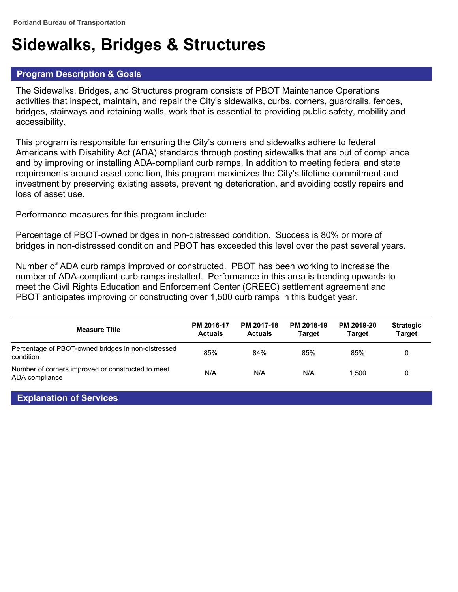# **Sidewalks, Bridges & Structures**

## **Program Description & Goals**

The Sidewalks, Bridges, and Structures program consists of PBOT Maintenance Operations activities that inspect, maintain, and repair the City's sidewalks, curbs, corners, guardrails, fences, bridges, stairways and retaining walls, work that is essential to providing public safety, mobility and accessibility.

This program is responsible for ensuring the City's corners and sidewalks adhere to federal Americans with Disability Act (ADA) standards through posting sidewalks that are out of compliance and by improving or installing ADA-compliant curb ramps. In addition to meeting federal and state requirements around asset condition, this program maximizes the City's lifetime commitment and investment by preserving existing assets, preventing deterioration, and avoiding costly repairs and loss of asset use.

Performance measures for this program include:

Percentage of PBOT-owned bridges in non-distressed condition. Success is 80% or more of bridges in non-distressed condition and PBOT has exceeded this level over the past several years.

Number of ADA curb ramps improved or constructed. PBOT has been working to increase the number of ADA-compliant curb ramps installed. Performance in this area is trending upwards to meet the Civil Rights Education and Enforcement Center (CREEC) settlement agreement and PBOT anticipates improving or constructing over 1,500 curb ramps in this budget year.

| <b>Measure Title</b>                                                | PM 2016-17<br><b>Actuals</b> | PM 2017-18<br><b>Actuals</b> | PM 2018-19<br><b>Target</b> | PM 2019-20<br>Tarɑet | <b>Strategic</b><br><b>Target</b> |
|---------------------------------------------------------------------|------------------------------|------------------------------|-----------------------------|----------------------|-----------------------------------|
| Percentage of PBOT-owned bridges in non-distressed<br>condition     | 85%                          | 84%                          | 85%                         | 85%                  | 0                                 |
| Number of corners improved or constructed to meet<br>ADA compliance | N/A                          | N/A                          | N/A                         | 1.500                | 0                                 |

### **Explanation of Services**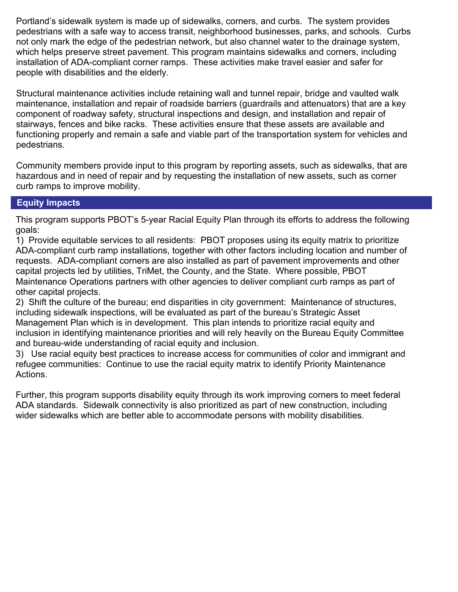Portland's sidewalk system is made up of sidewalks, corners, and curbs. The system provides pedestrians with a safe way to access transit, neighborhood businesses, parks, and schools. Curbs not only mark the edge of the pedestrian network, but also channel water to the drainage system, which helps preserve street pavement. This program maintains sidewalks and corners, including installation of ADA-compliant corner ramps. These activities make travel easier and safer for people with disabilities and the elderly.

Structural maintenance activities include retaining wall and tunnel repair, bridge and vaulted walk maintenance, installation and repair of roadside barriers (guardrails and attenuators) that are a key component of roadway safety, structural inspections and design, and installation and repair of stairways, fences and bike racks. These activities ensure that these assets are available and functioning properly and remain a safe and viable part of the transportation system for vehicles and pedestrians.

Community members provide input to this program by reporting assets, such as sidewalks, that are hazardous and in need of repair and by requesting the installation of new assets, such as corner curb ramps to improve mobility.

## **Equity Impacts**

This program supports PBOT's 5-year Racial Equity Plan through its efforts to address the following goals:

1) Provide equitable services to all residents: PBOT proposes using its equity matrix to prioritize ADA-compliant curb ramp installations, together with other factors including location and number of requests. ADA-compliant corners are also installed as part of pavement improvements and other capital projects led by utilities, TriMet, the County, and the State. Where possible, PBOT Maintenance Operations partners with other agencies to deliver compliant curb ramps as part of other capital projects.

2) Shift the culture of the bureau; end disparities in city government: Maintenance of structures, including sidewalk inspections, will be evaluated as part of the bureau's Strategic Asset Management Plan which is in development. This plan intends to prioritize racial equity and inclusion in identifying maintenance priorities and will rely heavily on the Bureau Equity Committee and bureau-wide understanding of racial equity and inclusion.

3) Use racial equity best practices to increase access for communities of color and immigrant and refugee communities: Continue to use the racial equity matrix to identify Priority Maintenance Actions.

Further, this program supports disability equity through its work improving corners to meet federal ADA standards. Sidewalk connectivity is also prioritized as part of new construction, including wider sidewalks which are better able to accommodate persons with mobility disabilities.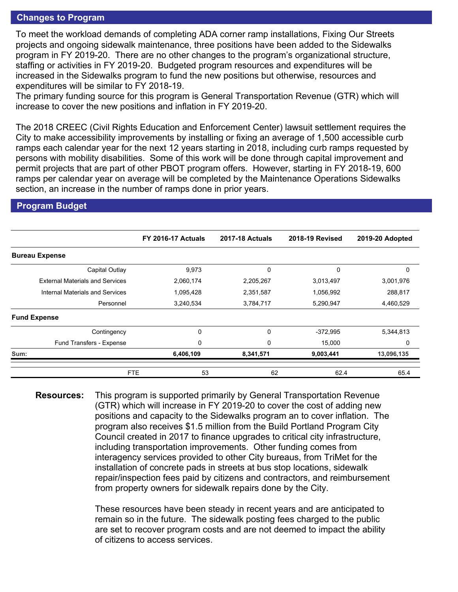#### **Changes to Program**

To meet the workload demands of completing ADA corner ramp installations, Fixing Our Streets projects and ongoing sidewalk maintenance, three positions have been added to the Sidewalks program in FY 2019-20. There are no other changes to the program's organizational structure, staffing or activities in FY 2019-20. Budgeted program resources and expenditures will be increased in the Sidewalks program to fund the new positions but otherwise, resources and expenditures will be similar to FY 2018-19.

The primary funding source for this program is General Transportation Revenue (GTR) which will increase to cover the new positions and inflation in FY 2019-20.

The 2018 CREEC (Civil Rights Education and Enforcement Center) lawsuit settlement requires the City to make accessibility improvements by installing or fixing an average of 1,500 accessible curb ramps each calendar year for the next 12 years starting in 2018, including curb ramps requested by persons with mobility disabilities. Some of this work will be done through capital improvement and permit projects that are part of other PBOT program offers. However, starting in FY 2018-19, 600 ramps per calendar year on average will be completed by the Maintenance Operations Sidewalks section, an increase in the number of ramps done in prior years.

#### **Program Budget**

|                                        | <b>FY 2016-17 Actuals</b> | <b>2017-18 Actuals</b> | <b>2018-19 Revised</b> | 2019-20 Adopted |
|----------------------------------------|---------------------------|------------------------|------------------------|-----------------|
| <b>Bureau Expense</b>                  |                           |                        |                        |                 |
| Capital Outlay                         | 9,973                     | 0                      | 0                      | 0               |
| <b>External Materials and Services</b> | 2,060,174                 | 2,205,267              | 3,013,497              | 3,001,976       |
| Internal Materials and Services        | 1,095,428                 | 2,351,587              | 1,056,992              | 288,817         |
| Personnel                              | 3,240,534                 | 3,784,717              | 5,290,947              | 4,460,529       |
| <b>Fund Expense</b>                    |                           |                        |                        |                 |
| Contingency                            | 0                         | 0                      | $-372.995$             | 5,344,813       |
| Fund Transfers - Expense               | 0                         | 0                      | 15,000                 | 0               |
| Sum:                                   | 6,406,109                 | 8,341,571              | 9,003,441              | 13,096,135      |
|                                        | 53<br><b>FTE</b>          | 62                     | 62.4                   | 65.4            |

**Resources:** This program is supported primarily by General Transportation Revenue (GTR) which will increase in FY 2019-20 to cover the cost of adding new positions and capacity to the Sidewalks program an to cover inflation. The program also receives \$1.5 million from the Build Portland Program City Council created in 2017 to finance upgrades to critical city infrastructure, including transportation improvements. Other funding comes from interagency services provided to other City bureaus, from TriMet for the installation of concrete pads in streets at bus stop locations, sidewalk repair/inspection fees paid by citizens and contractors, and reimbursement from property owners for sidewalk repairs done by the City.

> These resources have been steady in recent years and are anticipated to remain so in the future. The sidewalk posting fees charged to the public are set to recover program costs and are not deemed to impact the ability of citizens to access services.